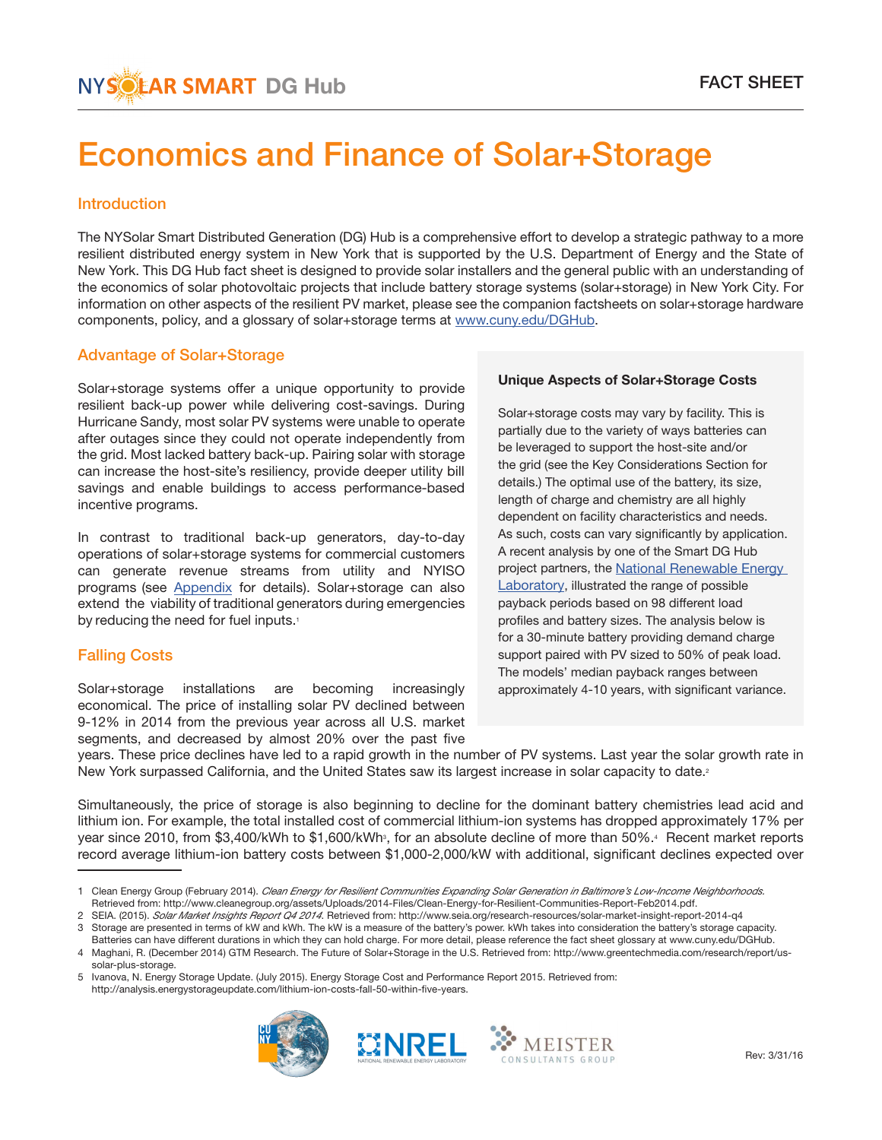# Economics and Finance of Solar+Storage

## **Introduction**

The NYSolar Smart Distributed Generation (DG) Hub is a comprehensive effort to develop a strategic pathway to a more resilient distributed energy system in New York that is supported by the U.S. Department of Energy and the State of New York. This DG Hub fact sheet is designed to provide solar installers and the general public with an understanding of the economics of solar photovoltaic projects that include battery storage systems (solar+storage) in New York City. For information on other aspects of the resilient PV market, please see the companion factsheets on solar+storage hardware components, policy, and a glossary of solar+storage terms at www.cuny.edu/DGHub.

## Advantage of Solar+Storage

Solar+storage systems offer a unique opportunity to provide resilient back-up power while delivering cost-savings. During Hurricane Sandy, most solar PV systems were unable to operate after outages since they could not operate independently from the grid. Most lacked battery back-up. Pairing solar with storage can increase the host-site's resiliency, provide deeper utility bill savings and enable buildings to access performance-based incentive programs.

In contrast to traditional back-up generators, day-to-day operations of solar+storage systems for commercial customers can generate revenue streams from utility and NYISO programs (see [Appendix](#page-5-0) for details). Solar+storage can also extend the viability of traditional generators during emergencies by reducing the need for fuel inputs.<sup>1</sup>

## Falling Costs

Solar+storage installations are becoming increasingly economical. The price of installing solar PV declined between 9-12% in 2014 from the previous year across all U.S. market segments, and decreased by almost 20% over the past five

## Unique Aspects of Solar+Storage Costs

Solar+storage costs may vary by facility. This is partially due to the variety of ways batteries can be leveraged to support the host-site and/or the grid (see the Key Considerations Section for details.) The optimal use of the battery, its size, length of charge and chemistry are all highly dependent on facility characteristics and needs. As such, costs can vary significantly by application. A recent analysis by one of the Smart DG Hub [project partners, the National Renewable Energy](http://www.nrel.gov/docs/fy15osti/63162.pdf) Laboratory, illustrated the range of possible payback periods based on 98 different load profiles and battery sizes. The analysis below is for a 30-minute battery providing demand charge support paired with PV sized to 50% of peak load. The models' median payback ranges between approximately 4-10 years, with significant variance.

years. These price declines have led to a rapid growth in the number of PV systems. Last year the solar growth rate in New York surpassed California, and the United States saw its largest increase in solar capacity to date.<sup>2</sup>

Simultaneously, the price of storage is also beginning to decline for the dominant battery chemistries lead acid and lithium ion. For example, the total installed cost of commercial lithium-ion systems has dropped approximately 17% per year since 2010, from \$3,400/kWh to \$1,600/kWh<sup>3</sup>, for an absolute decline of more than 50%.<sup>4</sup> Recent market reports record average lithium-ion battery costs between \$1,000-2,000/kW with additional, significant declines expected over

3 Storage are presented in terms of kW and kWh. The kW is a measure of the battery's power. kWh takes into consideration the battery's storage capacity. Batteries can have different durations in which they can hold charge. For more detail, please reference the fact sheet glossary at www.cuny.edu/DGHub.

<sup>5</sup> Ivanova, N. Energy Storage Update. (July 2015). Energy Storage Cost and Performance Report 2015. Retrieved from: http://analysis.energystorageupdate.com/lithium-ion-costs-fall-50-within-five-years.







<sup>1</sup> Clean Energy Group (February 2014). *Clean Energy for Resilient Communities Expanding Solar Generation in Baltimore's Low-Income Neighborhoods.* Retrieved from: http://www.cleanegroup.org/assets/Uploads/2014-Files/Clean-Energy-for-Resilient-Communities-Report-Feb2014.pdf.

<sup>2</sup> SEIA. (2015). *Solar Market Insights Report Q4 2014*. Retrieved from: http://www.seia.org/research-resources/solar-market-insight-report-2014-q4

<sup>4</sup> Maghani, R. (December 2014) GTM Research. The Future of Solar+Storage in the U.S. Retrieved from: http://www.greentechmedia.com/research/report/ussolar-plus-storage.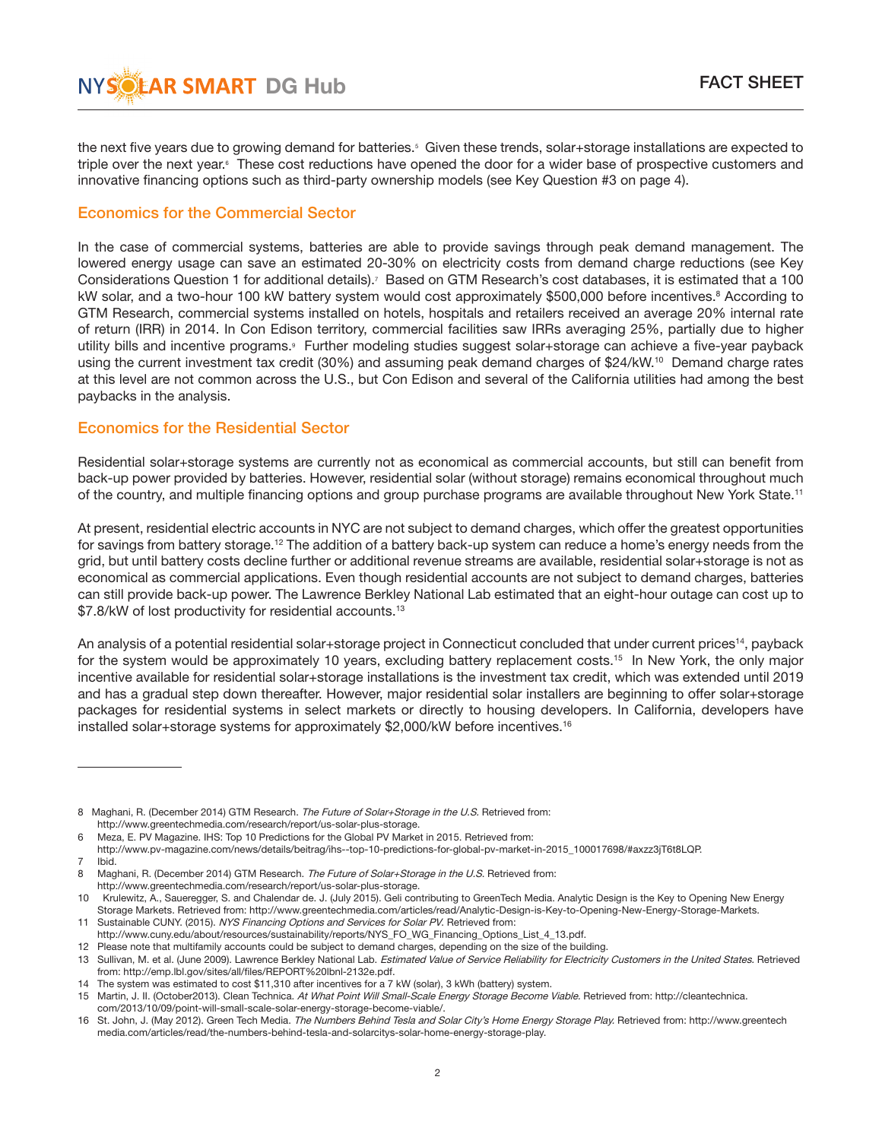the next five years due to growing demand for batteries.<sup>5</sup> Given these trends, solar+storage installations are expected to triple over the next year.<sup>6</sup> These cost reductions have opened the door for a wider base of prospective customers and innovative financing options such as third-party ownership models (see Key Question #3 on page 4).

# Economics for the Commercial Sector

In the case of commercial systems, batteries are able to provide savings through peak demand management. The lowered energy usage can save an estimated 20-30% on electricity costs from demand charge reductions (see Key Considerations Question 1 for additional details).<sup>7</sup> Based on GTM Research's cost databases, it is estimated that a 100 kW solar, and a two-hour 100 kW battery system would cost approximately \$500,000 before incentives.<sup>8</sup> According to GTM Research, commercial systems installed on hotels, hospitals and retailers received an average 20% internal rate of return (IRR) in 2014. In Con Edison territory, commercial facilities saw IRRs averaging 25%, partially due to higher utility bills and incentive programs.<sup>9</sup> Further modeling studies suggest solar+storage can achieve a five-year payback using the current investment tax credit (30%) and assuming peak demand charges of \$24/kW.<sup>10</sup> Demand charge rates at this level are not common across the U.S., but Con Edison and several of the California utilities had among the best paybacks in the analysis.

## Economics for the Residential Sector

Residential solar+storage systems are currently not as economical as commercial accounts, but still can benefit from back-up power provided by batteries. However, residential solar (without storage) remains economical throughout much of the country, and multiple financing options and group purchase programs are available throughout New York State.11

At present, residential electric accounts in NYC are not subject to demand charges, which offer the greatest opportunities for savings from battery storage.<sup>12</sup> The addition of a battery back-up system can reduce a home's energy needs from the grid, but until battery costs decline further or additional revenue streams are available, residential solar+storage is not as economical as commercial applications. Even though residential accounts are not subject to demand charges, batteries can still provide back-up power. The Lawrence Berkley National Lab estimated that an eight-hour outage can cost up to \$7.8/kW of lost productivity for residential accounts.<sup>13</sup>

An analysis of a potential residential solar+storage project in Connecticut concluded that under current prices14, payback for the system would be approximately 10 years, excluding battery replacement costs.<sup>15</sup> In New York, the only major incentive available for residential solar+storage installations is the investment tax credit, which was extended until 2019 and has a gradual step down thereafter. However, major residential solar installers are beginning to offer solar+storage packages for residential systems in select markets or directly to housing developers. In California, developers have installed solar+storage systems for approximately \$2,000/kW before incentives.<sup>16</sup>

<sup>8</sup> Maghani, R. (December 2014) GTM Research. The Future of Solar+Storage in the U.S. Retrieved from: http://www.greentechmedia.com/research/report/us-solar-plus-storage.

<sup>6</sup> Meza, E. PV Magazine. IHS: Top 10 Predictions for the Global PV Market in 2015. Retrieved from:

http://www.pv-magazine.com/news/details/beitrag/ihs--top-10-predictions-for-global-pv-market-in-2015\_100017698/#axzz3jT6t8LQP.

<sup>7</sup> Ibid.

<sup>8</sup> Maghani, R. (December 2014) GTM Research. The Future of Solar+Storage in the U.S. Retrieved from: http://www.greentechmedia.com/research/report/us-solar-plus-storage.

<sup>10</sup> Krulewitz, A., Saueregger, S. and Chalendar de. J. (July 2015). Geli contributing to GreenTech Media. Analytic Design is the Key to Opening New Energy Storage Markets. Retrieved from: http://www.greentechmedia.com/articles/read/Analytic-Design-is-Key-to-Opening-New-Energy-Storage-Markets. 11 Sustainable CUNY. (2015). NYS Financing Options and Services for Solar PV. Retrieved from:

http://www.cuny.edu/about/resources/sustainability/reports/NYS\_FO\_WG\_Financing\_Options\_List\_4\_13.pdf. 12 Please note that multifamily accounts could be subject to demand charges, depending on the size of the building.

<sup>13</sup> Sullivan, M. et al. (June 2009). Lawrence Berkley National Lab. Estimated Value of Service Reliability for Electricity Customers in the United States. Retrieved from: http://emp.lbl.gov/sites/all/files/REPORT%20lbnl-2132e.pdf.

<sup>14</sup> The system was estimated to cost \$11,310 after incentives for a 7 kW (solar), 3 kWh (battery) system.

<sup>15</sup> Martin, J. II. (October2013). Clean Technica. At What Point Will Small-Scale Energy Storage Become Viable. Retrieved from: http://cleantechnica. com/2013/10/09/point-will-small-scale-solar-energy-storage-become-viable/.

<sup>16</sup> St. John, J. (May 2012). Green Tech Media. The Numbers Behind Tesla and Solar City's Home Energy Storage Play. Retrieved from: http://www.greentech media.com/articles/read/the-numbers-behind-tesla-and-solarcitys-solar-home-energy-storage-play.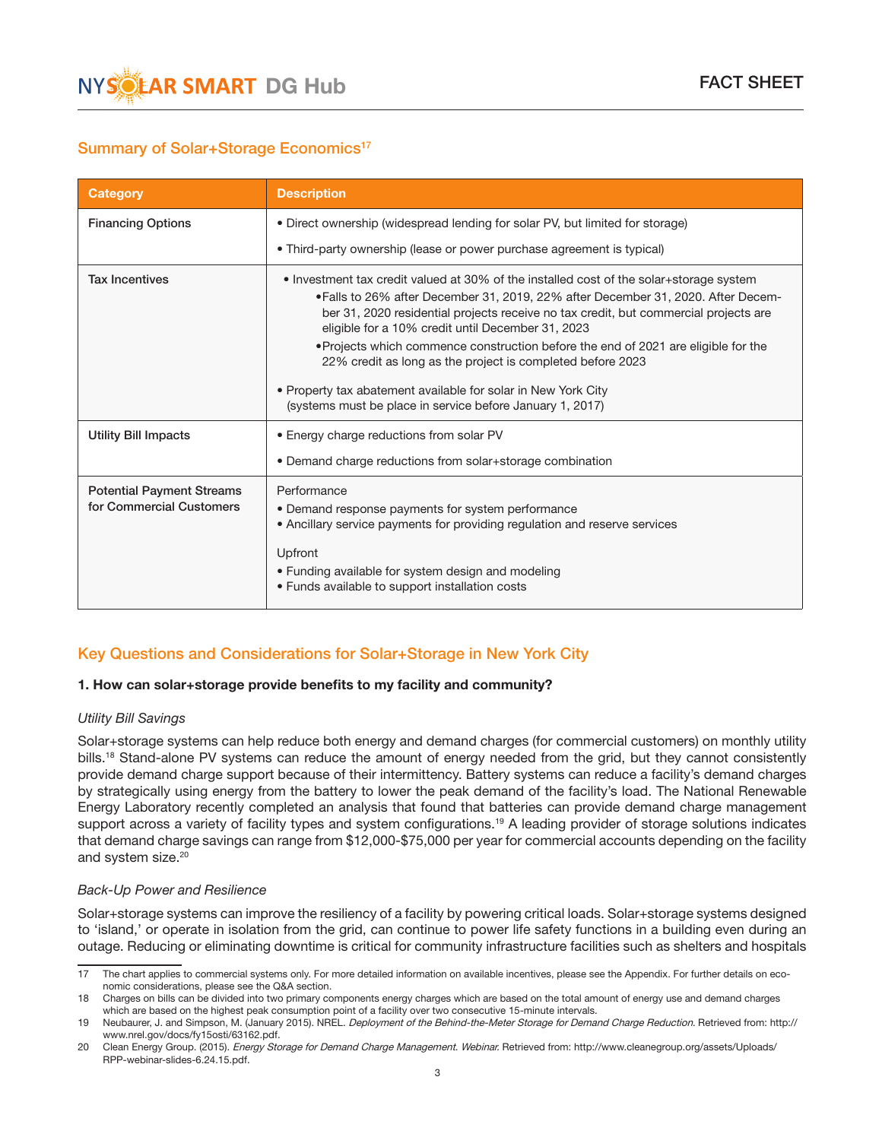

# Summary of Solar+Storage Economics<sup>17</sup>

| <b>Category</b>                                              | <b>Description</b>                                                                                                                                                                                                                                                                                                                                                                                                                                                                                                                                                                                          |
|--------------------------------------------------------------|-------------------------------------------------------------------------------------------------------------------------------------------------------------------------------------------------------------------------------------------------------------------------------------------------------------------------------------------------------------------------------------------------------------------------------------------------------------------------------------------------------------------------------------------------------------------------------------------------------------|
| <b>Financing Options</b>                                     | . Direct ownership (widespread lending for solar PV, but limited for storage)                                                                                                                                                                                                                                                                                                                                                                                                                                                                                                                               |
|                                                              | • Third-party ownership (lease or power purchase agreement is typical)                                                                                                                                                                                                                                                                                                                                                                                                                                                                                                                                      |
| <b>Tax Incentives</b>                                        | • Investment tax credit valued at 30% of the installed cost of the solar+storage system<br>• Falls to 26% after December 31, 2019, 22% after December 31, 2020. After Decem-<br>ber 31, 2020 residential projects receive no tax credit, but commercial projects are<br>eligible for a 10% credit until December 31, 2023<br>• Projects which commence construction before the end of 2021 are eligible for the<br>22% credit as long as the project is completed before 2023<br>• Property tax abatement available for solar in New York City<br>(systems must be place in service before January 1, 2017) |
| <b>Utility Bill Impacts</b>                                  | • Energy charge reductions from solar PV                                                                                                                                                                                                                                                                                                                                                                                                                                                                                                                                                                    |
|                                                              | • Demand charge reductions from solar+storage combination                                                                                                                                                                                                                                                                                                                                                                                                                                                                                                                                                   |
| <b>Potential Payment Streams</b><br>for Commercial Customers | Performance<br>• Demand response payments for system performance<br>• Ancillary service payments for providing regulation and reserve services<br>Upfront<br>• Funding available for system design and modeling<br>• Funds available to support installation costs                                                                                                                                                                                                                                                                                                                                          |

# Key Questions and Considerations for Solar+Storage in New York City

## 1. How can solar+storage provide benefits to my facility and community?

#### *Utility Bill Savings*

Solar+storage systems can help reduce both energy and demand charges (for commercial customers) on monthly utility bills.<sup>18</sup> Stand-alone PV systems can reduce the amount of energy needed from the grid, but they cannot consistently provide demand charge support because of their intermittency. Battery systems can reduce a facility's demand charges by strategically using energy from the battery to lower the peak demand of the facility's load. The National Renewable Energy Laboratory recently completed an analysis that found that batteries can provide demand charge management support across a variety of facility types and system configurations.<sup>19</sup> A leading provider of storage solutions indicates that demand charge savings can range from \$12,000-\$75,000 per year for commercial accounts depending on the facility and system size.20

#### *Back-Up Power and Resilience*

Solar+storage systems can improve the resiliency of a facility by powering critical loads. Solar+storage systems designed to 'island,' or operate in isolation from the grid, can continue to power life safety functions in a building even during an outage. Reducing or eliminating downtime is critical for community infrastructure facilities such as shelters and hospitals

<sup>17</sup> The chart applies to commercial systems only. For more detailed information on available incentives, please see the Appendix. For further details on eco nomic considerations, please see the Q&A section.

<sup>18</sup> Charges on bills can be divided into two primary components energy charges which are based on the total amount of energy use and demand charges which are based on the highest peak consumption point of a facility over two consecutive 15-minute intervals.

<sup>19</sup> Neubaurer, J. and Simpson, M. (January 2015). NREL. *Deployment of the Behind-the-Meter Storage for Demand Charge Reduction*. Retrieved from: http:// www.nrel.gov/docs/fy15osti/63162.pdf.

<sup>20</sup> Clean Energy Group. (2015). Energy Storage for Demand Charge Management. Webinar. Retrieved from: http://www.cleanegroup.org/assets/Uploads/ RPP-webinar-slides-6.24.15.pdf.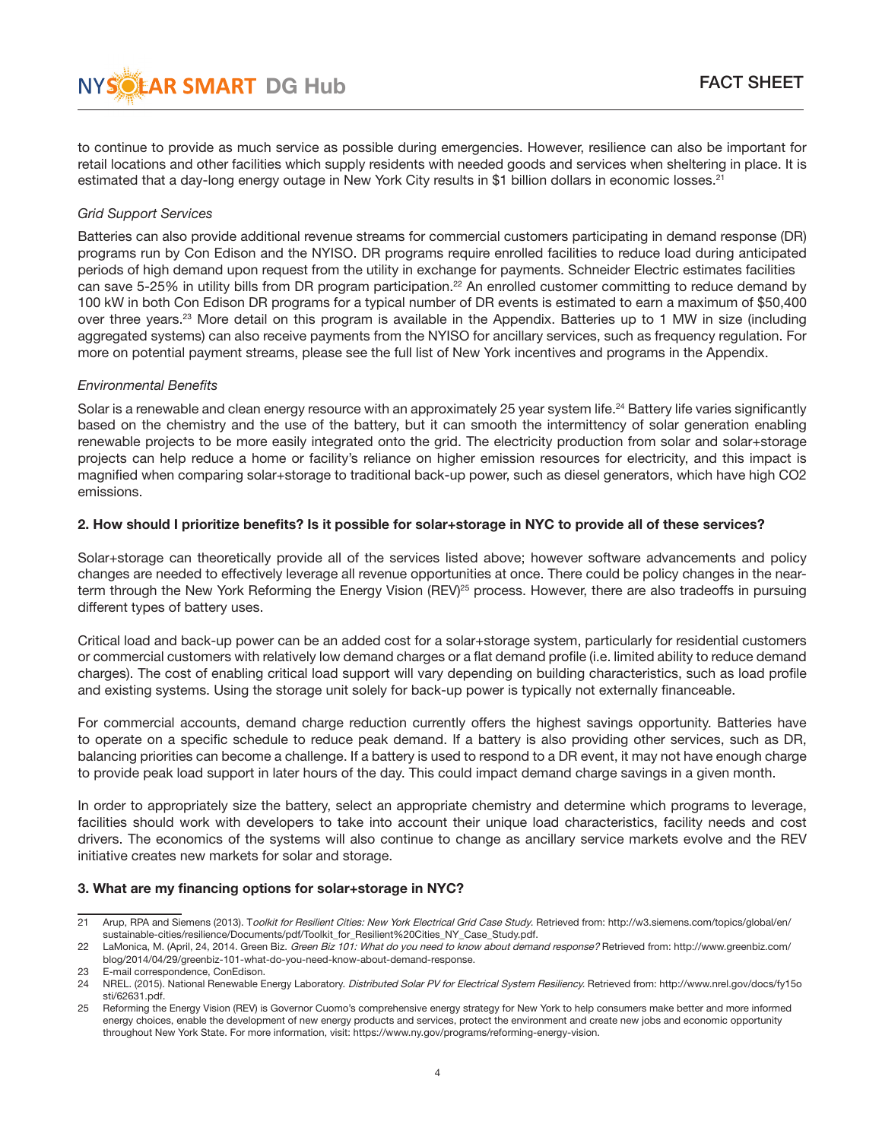to continue to provide as much service as possible during emergencies. However, resilience can also be important for retail locations and other facilities which supply residents with needed goods and services when sheltering in place. It is estimated that a day-long energy outage in New York City results in \$1 billion dollars in economic losses.<sup>21</sup>

#### *Grid Support Services*

Batteries can also provide additional revenue streams for commercial customers participating in demand response (DR) programs run by Con Edison and the NYISO. DR programs require enrolled facilities to reduce load during anticipated periods of high demand upon request from the utility in exchange for payments. Schneider Electric estimates facilities can save 5-25% in utility bills from DR program participation.<sup>22</sup> An enrolled customer committing to reduce demand by 100 kW in both Con Edison DR programs for a typical number of DR events is estimated to earn a maximum of \$50,400 over three years.23 More detail on this program is available in the Appendix. Batteries up to 1 MW in size (including aggregated systems) can also receive payments from the NYISO for ancillary services, such as frequency regulation. For more on potential payment streams, please see the full list of New York incentives and programs in the Appendix.

#### *Environmental Benefits*

Solar is a renewable and clean energy resource with an approximately 25 year system life.<sup>24</sup> Battery life varies significantly based on the chemistry and the use of the battery, but it can smooth the intermittency of solar generation enabling renewable projects to be more easily integrated onto the grid. The electricity production from solar and solar+storage projects can help reduce a home or facility's reliance on higher emission resources for electricity, and this impact is magnified when comparing solar+storage to traditional back-up power, such as diesel generators, which have high CO2 emissions.

#### 2. How should I prioritize benefits? Is it possible for solar+storage in NYC to provide all of these services?

Solar+storage can theoretically provide all of the services listed above; however software advancements and policy changes are needed to effectively leverage all revenue opportunities at once. There could be policy changes in the nearterm through the New York Reforming the Energy Vision (REV)<sup>25</sup> process. However, there are also tradeoffs in pursuing different types of battery uses.

Critical load and back-up power can be an added cost for a solar+storage system, particularly for residential customers or commercial customers with relatively low demand charges or a flat demand profile (i.e. limited ability to reduce demand charges). The cost of enabling critical load support will vary depending on building characteristics, such as load profile and existing systems. Using the storage unit solely for back-up power is typically not externally financeable.

For commercial accounts, demand charge reduction currently offers the highest savings opportunity. Batteries have to operate on a specific schedule to reduce peak demand. If a battery is also providing other services, such as DR, balancing priorities can become a challenge. If a battery is used to respond to a DR event, it may not have enough charge to provide peak load support in later hours of the day. This could impact demand charge savings in a given month.

In order to appropriately size the battery, select an appropriate chemistry and determine which programs to leverage, facilities should work with developers to take into account their unique load characteristics, facility needs and cost drivers. The economics of the systems will also continue to change as ancillary service markets evolve and the REV initiative creates new markets for solar and storage.

## 3. What are my financing options for solar+storage in NYC?

<sup>21</sup> Arup, RPA and Siemens (2013). Toolkit for Resilient Cities: New York Electrical Grid Case Study. Retrieved from: http://w3.siemens.com/topics/global/en/ sustainable-cities/resilience/Documents/pdf/Toolkit\_for\_Resilient%20Cities\_NY\_Case\_Study.pdf.<br>22 LaMonica. M. (April. 24. 2014. Green Biz. Green Biz 101: What do you need to know about demai

LaMonica, M. (April, 24, 2014. Green Biz. Green Biz 101: What do you need to know about demand response? Retrieved from: http://www.greenbiz.com/ blog/2014/04/29/greenbiz-101-what-do-you-need-know-about-demand-response.

<sup>23</sup> E-mail correspondence, ConEdison.

<sup>24</sup> NREL. (2015). National Renewable Energy Laboratory. Distributed Solar PV for Electrical System Resiliency. Retrieved from: http://www.nrel.gov/docs/fy15o sti/62631.pdf.

<sup>25</sup> Reforming the Energy Vision (REV) is Governor Cuomo's comprehensive energy strategy for New York to help consumers make better and more informed energy choices, enable the development of new energy products and services, protect the environment and create new jobs and economic opportunity throughout New York State. For more information, visit: https://www.ny.gov/programs/reforming-energy-vision.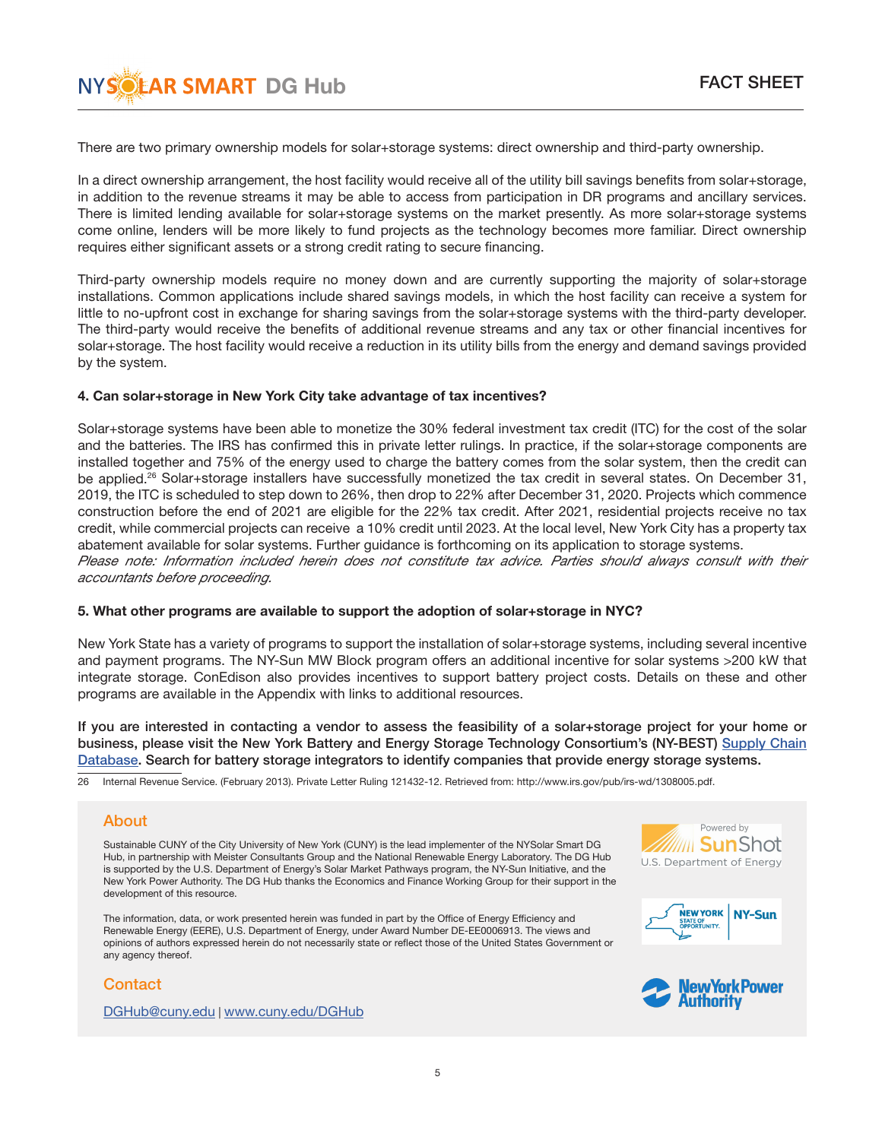

There are two primary ownership models for solar+storage systems: direct ownership and third-party ownership.

In a direct ownership arrangement, the host facility would receive all of the utility bill savings benefits from solar+storage, in addition to the revenue streams it may be able to access from participation in DR programs and ancillary services. There is limited lending available for solar+storage systems on the market presently. As more solar+storage systems come online, lenders will be more likely to fund projects as the technology becomes more familiar. Direct ownership requires either significant assets or a strong credit rating to secure financing.

Third-party ownership models require no money down and are currently supporting the majority of solar+storage installations. Common applications include shared savings models, in which the host facility can receive a system for little to no-upfront cost in exchange for sharing savings from the solar+storage systems with the third-party developer. The third-party would receive the benefits of additional revenue streams and any tax or other financial incentives for solar+storage. The host facility would receive a reduction in its utility bills from the energy and demand savings provided by the system.

#### 4. Can solar+storage in New York City take advantage of tax incentives?

Solar+storage systems have been able to monetize the 30% federal investment tax credit (ITC) for the cost of the solar and the batteries. The IRS has confirmed this in private letter rulings. In practice, if the solar+storage components are installed together and 75% of the energy used to charge the battery comes from the solar system, then the credit can be applied.26 Solar+storage installers have successfully monetized the tax credit in several states. On December 31, 2019, the ITC is scheduled to step down to 26%, then drop to 22% after December 31, 2020. Projects which commence construction before the end of 2021 are eligible for the 22% tax credit. After 2021, residential projects receive no tax credit, while commercial projects can receive a 10% credit until 2023. At the local level, New York City has a property tax abatement available for solar systems. Further guidance is forthcoming on its application to storage systems. Please note: Information included herein does not constitute tax advice. Parties should always consult with their *accountants before proceeding.*

#### 5. What other programs are available to support the adoption of solar+storage in NYC?

New York State has a variety of programs to support the installation of solar+storage systems, including several incentive and payment programs. The NY-Sun MW Block program offers an additional incentive for solar systems >200 kW that integrate storage. ConEdison also provides incentives to support battery project costs. Details on these and other programs are available in the Appendix with links to additional resources.

If you are interested in contacting a vendor to assess the feasibility of a solar+storage project for your home or business, please visit the New York Battery and Energy Storage Technology Consortium's (NY-BEST) Supply Chain Database. Search for battery storage integrators to identify companies that provide energy storage systems.

26 Internal Revenue Service. (February 2013). Private Letter Ruling 121432-12. Retrieved from: http://www.irs.gov/pub/irs-wd/1308005.pdf.

## About

Sustainable CUNY of the City University of New York (CUNY) is the lead implementer of the NYSolar Smart DG Hub, in partnership with Meister Consultants Group and the National Renewable Energy Laboratory. The DG Hub is supported by the U.S. Department of Energy's Solar Market Pathways program, the NY-Sun Initiative, and the New York Power Authority. The DG Hub thanks the Economics and Finance Working Group for their support in the development of this resource.

The information, data, or work presented herein was funded in part by the Office of Energy Efficiency and Renewable Energy (EERE), U.S. Department of Energy, under Award Number DE-EE0006913. The views and opinions of authors expressed herein do not necessarily state or reflect those of the United States Government or any agency thereof.

## **Contact**

DGHub@cuny.edu | www.cuny.edu/DGHub



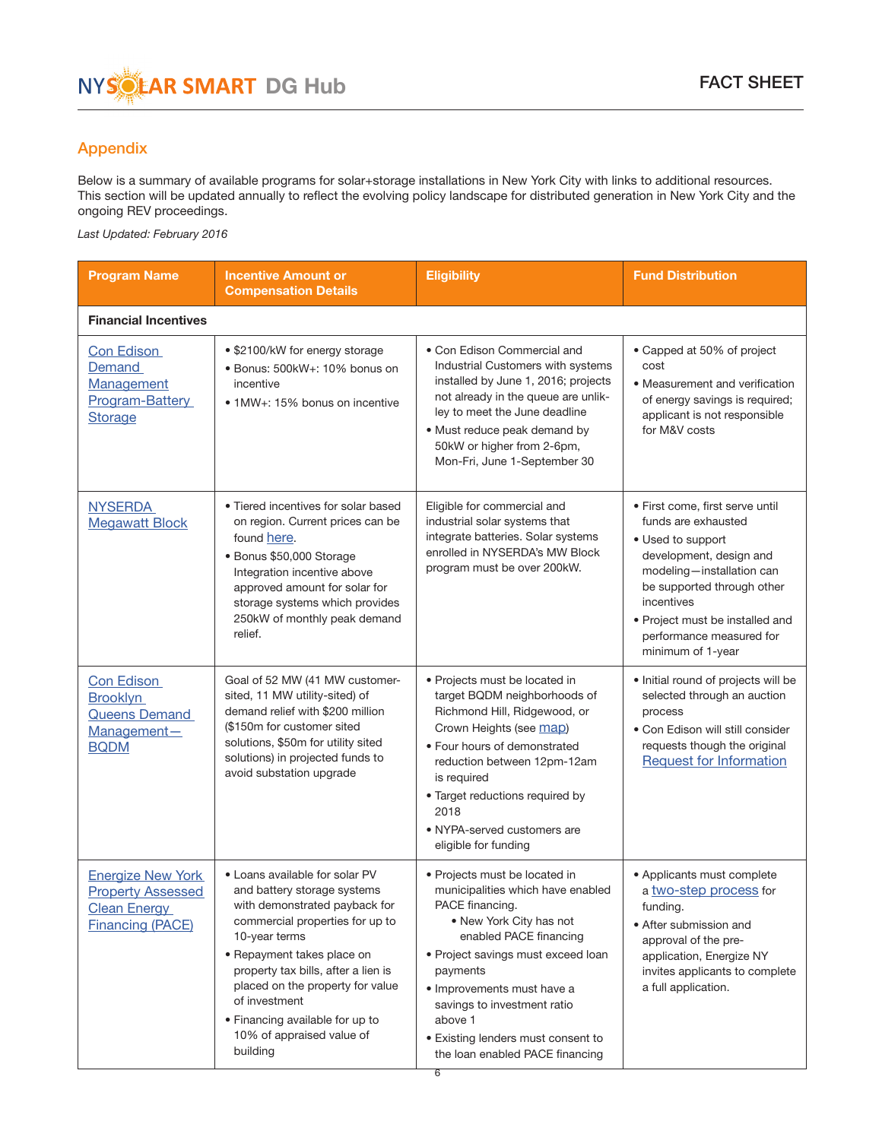# <span id="page-5-0"></span>Appendix

Below is a summary of available programs for solar+storage installations in New York City with links to additional resources. This section will be updated annually to reflect the evolving policy landscape for distributed generation in New York City and the ongoing REV proceedings.

*Last Updated: February 2016*

| <b>Program Name</b>                                                                                    | <b>Incentive Amount or</b><br><b>Compensation Details</b>                                                                                                                                                                                                                                                                                                | <b>Eligibility</b>                                                                                                                                                                                                                                                                                                                                 | <b>Fund Distribution</b>                                                                                                                                                                                                                                            |  |
|--------------------------------------------------------------------------------------------------------|----------------------------------------------------------------------------------------------------------------------------------------------------------------------------------------------------------------------------------------------------------------------------------------------------------------------------------------------------------|----------------------------------------------------------------------------------------------------------------------------------------------------------------------------------------------------------------------------------------------------------------------------------------------------------------------------------------------------|---------------------------------------------------------------------------------------------------------------------------------------------------------------------------------------------------------------------------------------------------------------------|--|
| <b>Financial Incentives</b>                                                                            |                                                                                                                                                                                                                                                                                                                                                          |                                                                                                                                                                                                                                                                                                                                                    |                                                                                                                                                                                                                                                                     |  |
| Con Edison<br>Demand<br>Management<br>Program-Battery<br><b>Storage</b>                                | • \$2100/kW for energy storage<br>· Bonus: 500kW+: 10% bonus on<br>incentive<br>• 1MW+: 15% bonus on incentive                                                                                                                                                                                                                                           | • Con Edison Commercial and<br>Industrial Customers with systems<br>installed by June 1, 2016; projects<br>not already in the queue are unlik-<br>ley to meet the June deadline<br>· Must reduce peak demand by<br>50kW or higher from 2-6pm,<br>Mon-Fri, June 1-September 30                                                                      | • Capped at 50% of project<br>cost<br>• Measurement and verification<br>of energy savings is required;<br>applicant is not responsible<br>for M&V costs                                                                                                             |  |
| <b>NYSERDA</b><br><b>Megawatt Block</b>                                                                | • Tiered incentives for solar based<br>on region. Current prices can be<br>found here.<br>· Bonus \$50,000 Storage<br>Integration incentive above<br>approved amount for solar for<br>storage systems which provides<br>250kW of monthly peak demand<br>relief.                                                                                          | Eligible for commercial and<br>industrial solar systems that<br>integrate batteries. Solar systems<br>enrolled in NYSERDA's MW Block<br>program must be over 200kW.                                                                                                                                                                                | • First come, first serve until<br>funds are exhausted<br>• Used to support<br>development, design and<br>modeling-installation can<br>be supported through other<br>incentives<br>• Project must be installed and<br>performance measured for<br>minimum of 1-year |  |
| Con Edison<br><b>Brooklyn</b><br><b>Queens Demand</b><br>Management-<br><b>BQDM</b>                    | Goal of 52 MW (41 MW customer-<br>sited, 11 MW utility-sited) of<br>demand relief with \$200 million<br>(\$150m for customer sited<br>solutions, \$50m for utility sited<br>solutions) in projected funds to<br>avoid substation upgrade                                                                                                                 | • Projects must be located in<br>target BQDM neighborhoods of<br>Richmond Hill, Ridgewood, or<br>Crown Heights (see map)<br>• Four hours of demonstrated<br>reduction between 12pm-12am<br>is required<br>· Target reductions required by<br>2018<br>• NYPA-served customers are<br>eligible for funding                                           | · Initial round of projects will be<br>selected through an auction<br>process<br>· Con Edison will still consider<br>requests though the original<br><b>Request for Information</b>                                                                                 |  |
| <b>Energize New York</b><br><b>Property Assessed</b><br><b>Clean Energy</b><br><b>Financing (PACE)</b> | • Loans available for solar PV<br>and battery storage systems<br>with demonstrated payback for<br>commercial properties for up to<br>10-year terms<br>• Repayment takes place on<br>property tax bills, after a lien is<br>placed on the property for value<br>of investment<br>• Financing available for up to<br>10% of appraised value of<br>building | · Projects must be located in<br>municipalities which have enabled<br>PACE financing.<br>• New York City has not<br>enabled PACE financing<br>• Project savings must exceed loan<br>payments<br>• Improvements must have a<br>savings to investment ratio<br>above 1<br>• Existing lenders must consent to<br>the loan enabled PACE financing<br>6 | • Applicants must complete<br>a two-step process for<br>funding.<br>• After submission and<br>approval of the pre-<br>application, Energize NY<br>invites applicants to complete<br>a full application.                                                             |  |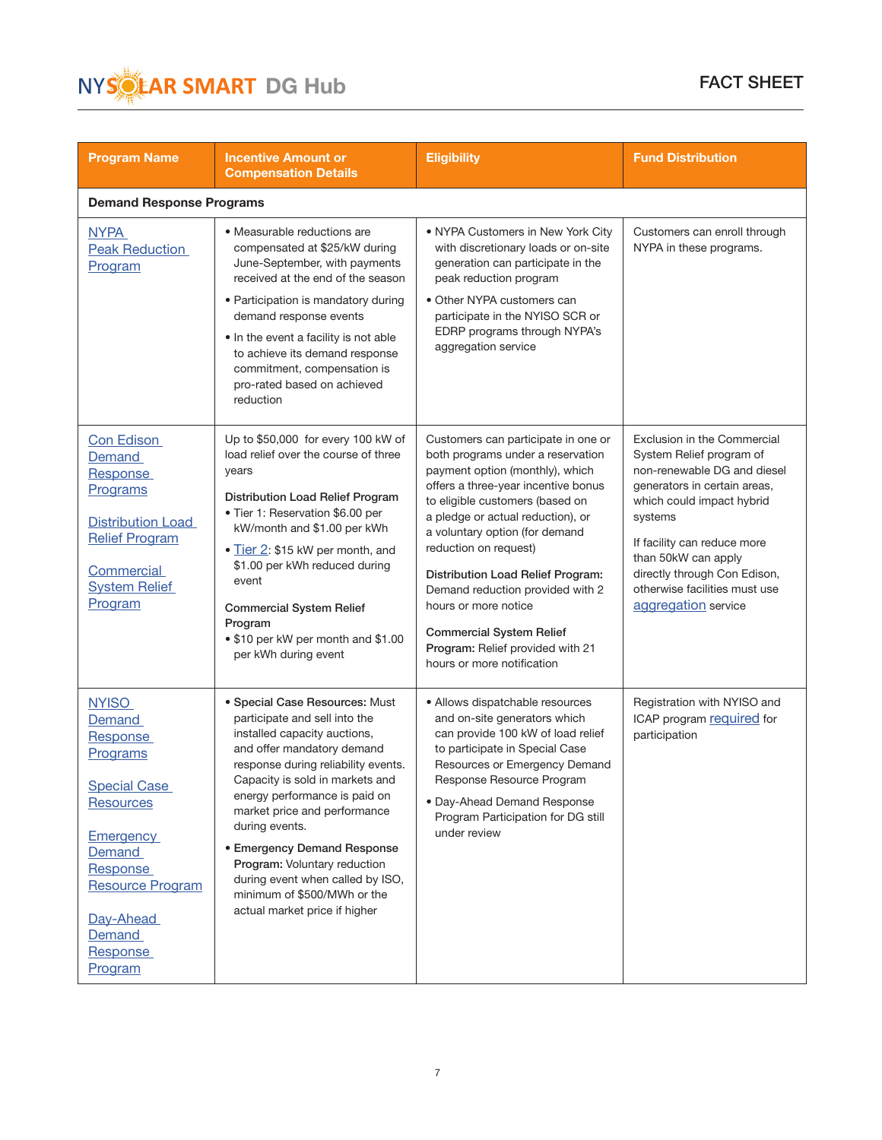

| <b>Program Name</b>                                                                                                                                                                                                 | <b>Incentive Amount or</b><br><b>Compensation Details</b>                                                                                                                                                                                                                                                                                                                                                                                                            | <b>Eligibility</b>                                                                                                                                                                                                                                                                                                                                                                                                                                                                          | <b>Fund Distribution</b>                                                                                                                                                                                                                                                                                     |  |
|---------------------------------------------------------------------------------------------------------------------------------------------------------------------------------------------------------------------|----------------------------------------------------------------------------------------------------------------------------------------------------------------------------------------------------------------------------------------------------------------------------------------------------------------------------------------------------------------------------------------------------------------------------------------------------------------------|---------------------------------------------------------------------------------------------------------------------------------------------------------------------------------------------------------------------------------------------------------------------------------------------------------------------------------------------------------------------------------------------------------------------------------------------------------------------------------------------|--------------------------------------------------------------------------------------------------------------------------------------------------------------------------------------------------------------------------------------------------------------------------------------------------------------|--|
| <b>Demand Response Programs</b>                                                                                                                                                                                     |                                                                                                                                                                                                                                                                                                                                                                                                                                                                      |                                                                                                                                                                                                                                                                                                                                                                                                                                                                                             |                                                                                                                                                                                                                                                                                                              |  |
| <b>NYPA</b><br><b>Peak Reduction</b><br>Program                                                                                                                                                                     | • Measurable reductions are<br>compensated at \$25/kW during<br>June-September, with payments<br>received at the end of the season<br>• Participation is mandatory during<br>demand response events<br>• In the event a facility is not able<br>to achieve its demand response<br>commitment, compensation is<br>pro-rated based on achieved<br>reduction                                                                                                            | • NYPA Customers in New York City<br>with discretionary loads or on-site<br>generation can participate in the<br>peak reduction program<br>• Other NYPA customers can<br>participate in the NYISO SCR or<br>EDRP programs through NYPA's<br>aggregation service                                                                                                                                                                                                                             | Customers can enroll through<br>NYPA in these programs.                                                                                                                                                                                                                                                      |  |
| Con Edison<br>Demand<br>Response<br>Programs<br><b>Distribution Load</b><br><b>Relief Program</b><br>Commercial<br><b>System Relief</b><br>Program                                                                  | Up to \$50,000 for every 100 kW of<br>load relief over the course of three<br>years<br>Distribution Load Relief Program<br>• Tier 1: Reservation \$6.00 per<br>kW/month and \$1.00 per kWh<br>• Tier 2: \$15 kW per month, and<br>\$1.00 per kWh reduced during<br>event<br><b>Commercial System Relief</b><br>Program<br>• \$10 per kW per month and \$1.00<br>per kWh during event                                                                                 | Customers can participate in one or<br>both programs under a reservation<br>payment option (monthly), which<br>offers a three-year incentive bonus<br>to eligible customers (based on<br>a pledge or actual reduction), or<br>a voluntary option (for demand<br>reduction on request)<br>Distribution Load Relief Program:<br>Demand reduction provided with 2<br>hours or more notice<br><b>Commercial System Relief</b><br>Program: Relief provided with 21<br>hours or more notification | Exclusion in the Commercial<br>System Relief program of<br>non-renewable DG and diesel<br>generators in certain areas,<br>which could impact hybrid<br>systems<br>If facility can reduce more<br>than 50kW can apply<br>directly through Con Edison,<br>otherwise facilities must use<br>aggregation service |  |
| <b>NYISO</b><br>Demand<br>Response<br>Programs<br><b>Special Case</b><br><b>Resources</b><br><b>Emergency</b><br>Demand<br>Response<br><b>Resource Program</b><br>Day-Ahead<br><b>Demand</b><br>Response<br>Program | · Special Case Resources: Must<br>participate and sell into the<br>installed capacity auctions,<br>and offer mandatory demand<br>response during reliability events.<br>Capacity is sold in markets and<br>energy performance is paid on<br>market price and performance<br>during events.<br><b>• Emergency Demand Response</b><br>Program: Voluntary reduction<br>during event when called by ISO,<br>minimum of \$500/MWh or the<br>actual market price if higher | · Allows dispatchable resources<br>and on-site generators which<br>can provide 100 kW of load relief<br>to participate in Special Case<br>Resources or Emergency Demand<br>Response Resource Program<br>· Day-Ahead Demand Response<br>Program Participation for DG still<br>under review                                                                                                                                                                                                   | Registration with NYISO and<br>ICAP program required for<br>participation                                                                                                                                                                                                                                    |  |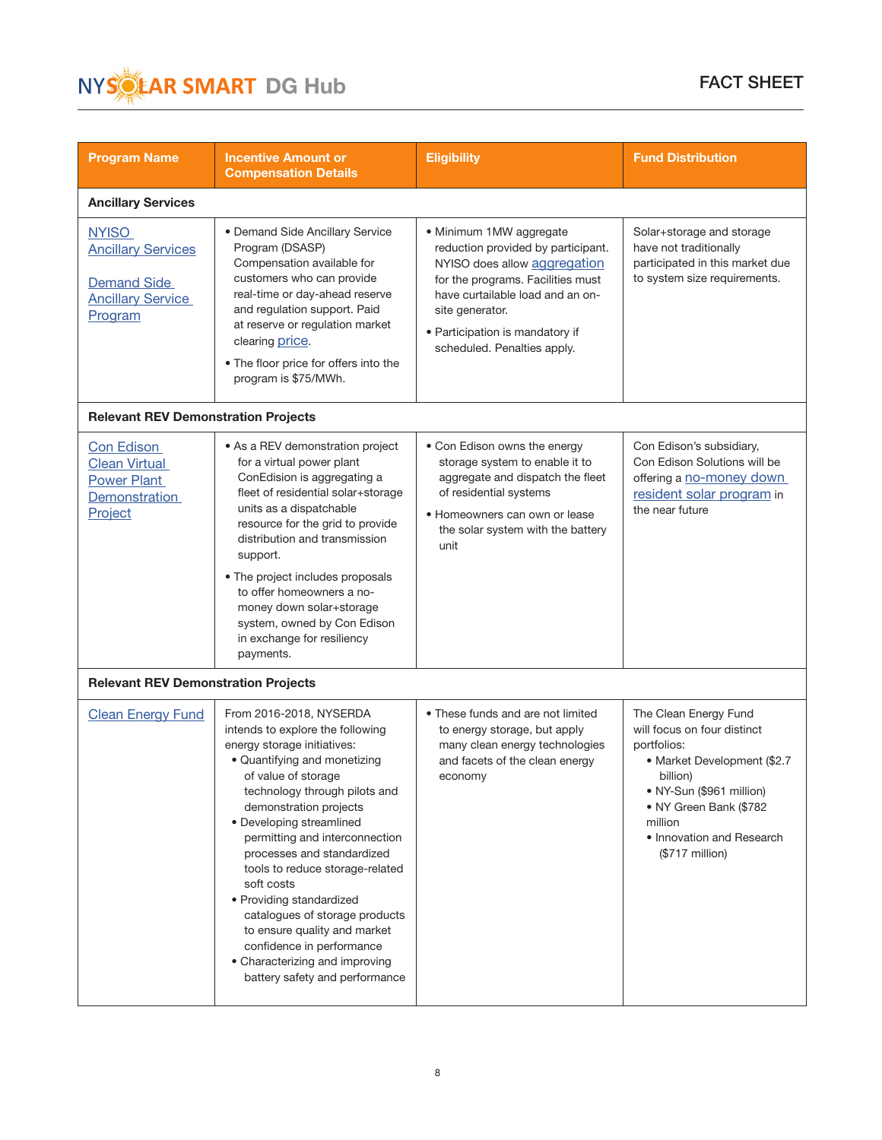

| <b>Program Name</b>                                                                                    | <b>Incentive Amount or</b><br><b>Compensation Details</b>                                                                                                                                                                                                                                                                                                                                                                                                                                                                                                | <b>Eligibility</b>                                                                                                                                                                                                                                          | <b>Fund Distribution</b>                                                                                                                                                                                                         |  |
|--------------------------------------------------------------------------------------------------------|----------------------------------------------------------------------------------------------------------------------------------------------------------------------------------------------------------------------------------------------------------------------------------------------------------------------------------------------------------------------------------------------------------------------------------------------------------------------------------------------------------------------------------------------------------|-------------------------------------------------------------------------------------------------------------------------------------------------------------------------------------------------------------------------------------------------------------|----------------------------------------------------------------------------------------------------------------------------------------------------------------------------------------------------------------------------------|--|
| <b>Ancillary Services</b>                                                                              |                                                                                                                                                                                                                                                                                                                                                                                                                                                                                                                                                          |                                                                                                                                                                                                                                                             |                                                                                                                                                                                                                                  |  |
| <b>NYISO</b><br><b>Ancillary Services</b><br><b>Demand Side</b><br><b>Ancillary Service</b><br>Program | • Demand Side Ancillary Service<br>Program (DSASP)<br>Compensation available for<br>customers who can provide<br>real-time or day-ahead reserve<br>and regulation support. Paid<br>at reserve or regulation market<br>clearing price.<br>• The floor price for offers into the<br>program is \$75/MWh.                                                                                                                                                                                                                                                   | · Minimum 1MW aggregate<br>reduction provided by participant.<br>NYISO does allow aggregation<br>for the programs. Facilities must<br>have curtailable load and an on-<br>site generator.<br>• Participation is mandatory if<br>scheduled. Penalties apply. | Solar+storage and storage<br>have not traditionally<br>participated in this market due<br>to system size requirements.                                                                                                           |  |
| <b>Relevant REV Demonstration Projects</b>                                                             |                                                                                                                                                                                                                                                                                                                                                                                                                                                                                                                                                          |                                                                                                                                                                                                                                                             |                                                                                                                                                                                                                                  |  |
| Con Edison<br><b>Clean Virtual</b><br>Power Plant<br>Demonstration<br>Project                          | • As a REV demonstration project<br>for a virtual power plant<br>ConEdision is aggregating a<br>fleet of residential solar+storage<br>units as a dispatchable<br>resource for the grid to provide<br>distribution and transmission<br>support.<br>• The project includes proposals<br>to offer homeowners a no-<br>money down solar+storage<br>system, owned by Con Edison<br>in exchange for resiliency<br>payments.                                                                                                                                    | • Con Edison owns the energy<br>storage system to enable it to<br>aggregate and dispatch the fleet<br>of residential systems<br>• Homeowners can own or lease<br>the solar system with the battery<br>unit                                                  | Con Edison's subsidiary,<br>Con Edison Solutions will be<br>offering a no-money down<br>resident solar program in<br>the near future                                                                                             |  |
| <b>Relevant REV Demonstration Projects</b>                                                             |                                                                                                                                                                                                                                                                                                                                                                                                                                                                                                                                                          |                                                                                                                                                                                                                                                             |                                                                                                                                                                                                                                  |  |
| <b>Clean Energy Fund</b>                                                                               | From 2016-2018, NYSERDA<br>intends to explore the following<br>energy storage initiatives:<br>· Quantifying and monetizing<br>of value of storage<br>technology through pilots and<br>demonstration projects<br>• Developing streamlined<br>permitting and interconnection<br>processes and standardized<br>tools to reduce storage-related<br>soft costs<br>• Providing standardized<br>catalogues of storage products<br>to ensure quality and market<br>confidence in performance<br>• Characterizing and improving<br>battery safety and performance | • These funds and are not limited<br>to energy storage, but apply<br>many clean energy technologies<br>and facets of the clean energy<br>economy                                                                                                            | The Clean Energy Fund<br>will focus on four distinct<br>portfolios:<br>• Market Development (\$2.7<br>billion)<br>· NY-Sun (\$961 million)<br>• NY Green Bank (\$782)<br>million<br>• Innovation and Research<br>(\$717 million) |  |